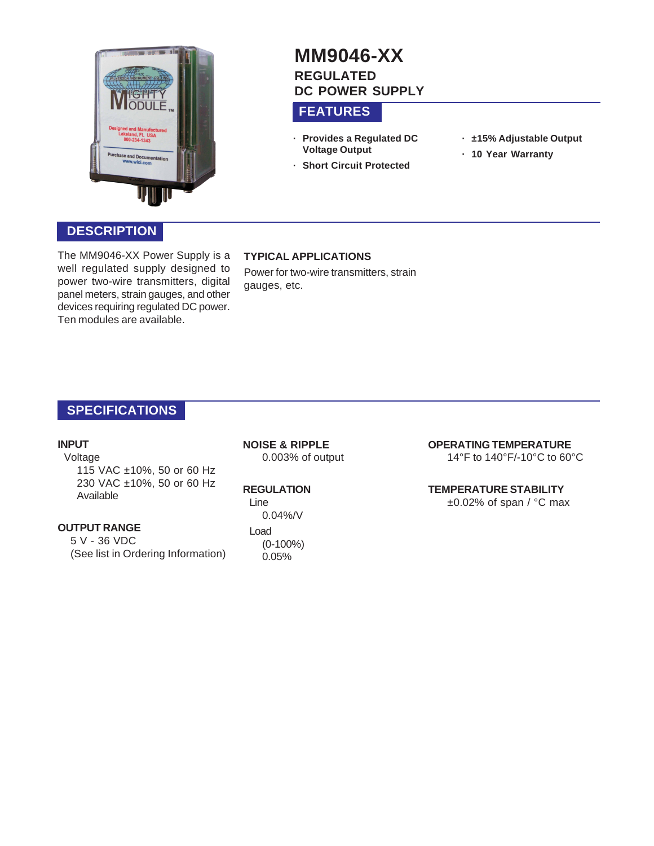

### **DESCRIPTION**

The MM9046-XX Power Supply is a well regulated supply designed to power two-wire transmitters, digital panel meters, strain gauges, and other devices requiring regulated DC power. Ten modules are available.

# **MM9046-XX REGULATED DC POWER SUPPLY**

### **FEATURES**

- **· Provides a Regulated DC Voltage Output**
- **· ±15% Adjustable Output**
- **· 10 Year Warranty**
- **· Short Circuit Protected**

### **TYPICAL APPLICATIONS**

Power for two-wire transmitters, strain gauges, etc.

### **SPECIFICATIONS**

#### **INPUT**

Voltage 115 VAC ±10%, 50 or 60 Hz 230 VAC ±10%, 50 or 60 Hz Available

#### **OUTPUT RANGE**

5 V - 36 VDC (See list in Ordering Information) **NOISE & RIPPLE** 0.003% of output

#### **REGULATION**

Line 0.04%/V Load (0-100%) 0.05%

### **OPERATING TEMPERATURE**

14°F to 140°F/-10°C to 60°C

### **TEMPERATURE STABILITY**

 $\pm 0.02\%$  of span / °C max